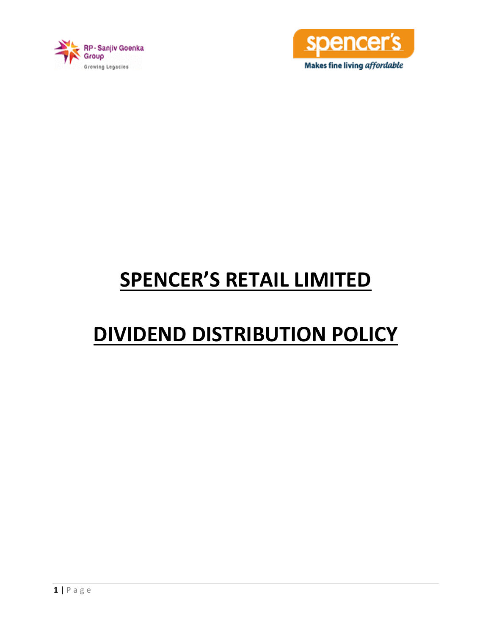



# **SPENCER'S RETAIL LIMITED**

# **DIVIDEND DISTRIBUTION POLICY**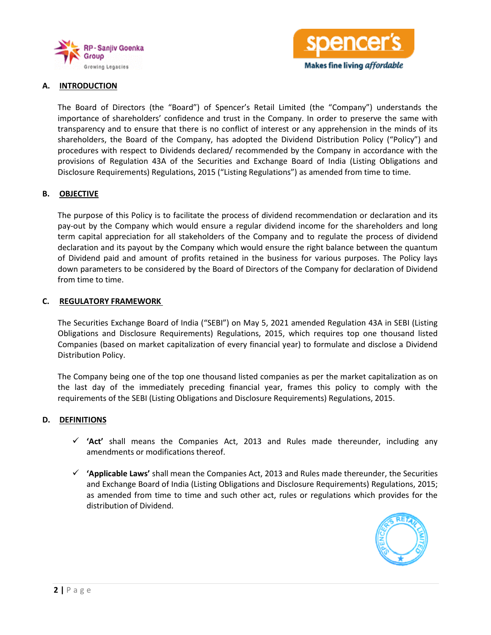



# **A. INTRODUCTION**

The Board of Directors (the "Board") of Spencer's Retail Limited (the "Company") understands the importance of shareholders' confidence and trust in the Company. In order to preserve the same with transparency and to ensure that there is no conflict of interest or any apprehension in the minds of its shareholders, the Board of the Company, has adopted the Dividend Distribution Policy ("Policy") and procedures with respect to Dividends declared/ recommended by the Company in accordance with the provisions of Regulation 43A of the Securities and Exchange Board of India (Listing Obligations and Disclosure Requirements) Regulations, 2015 ("Listing Regulations") as amended from time to time.

### **B. OBJECTIVE**

The purpose of this Policy is to facilitate the process of dividend recommendation or declaration and its pay-out by the Company which would ensure a regular dividend income for the shareholders and long term capital appreciation for all stakeholders of the Company and to regulate the process of dividend declaration and its payout by the Company which would ensure the right balance between the quantum of Dividend paid and amount of profits retained in the business for various purposes. The Policy lays down parameters to be considered by the Board of Directors of the Company for declaration of Dividend from time to time.

#### **C. REGULATORY FRAMEWORK**

The Securities Exchange Board of India ("SEBI") on May 5, 2021 amended Regulation 43A in SEBI (Listing Obligations and Disclosure Requirements) Regulations, 2015, which requires top one thousand listed Companies (based on market capitalization of every financial year) to formulate and disclose a Dividend Distribution Policy.

The Company being one of the top one thousand listed companies as per the market capitalization as on the last day of the immediately preceding financial year, frames this policy to comply with the requirements of the SEBI (Listing Obligations and Disclosure Requirements) Regulations, 2015.

#### **D. DEFINITIONS**

- $\checkmark$  'Act' shall means the Companies Act, 2013 and Rules made thereunder, including any amendments or modifications thereof.
- $\checkmark$  'Applicable Laws' shall mean the Companies Act, 2013 and Rules made thereunder, the Securities and Exchange Board of India (Listing Obligations and Disclosure Requirements) Regulations, 2015; as amended from time to time and such other act, rules or regulations which provides for the distribution of Dividend.

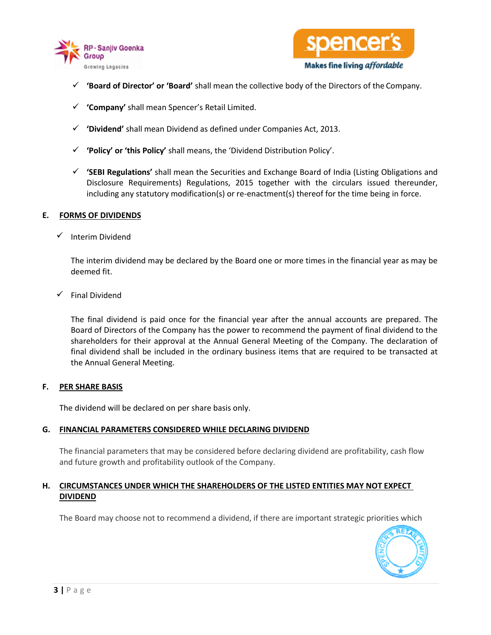



- **'Board of Director' or 'Board'** shall mean the collective body of the Directors of the Company.
- **'Company'** shall mean Spencer's Retail Limited.
- **'Dividend'** shall mean Dividend as defined under Companies Act, 2013.
- **'Policy' or 'this Policy'** shall means, the 'Dividend Distribution Policy'.
- **'SEBI Regulations'** shall mean the Securities and Exchange Board of India (Listing Obligations and Disclosure Requirements) Regulations, 2015 together with the circulars issued thereunder, including any statutory modification(s) or re-enactment(s) thereof for the time being in force.

### **E. FORMS OF DIVIDENDS**

 $\checkmark$  Interim Dividend

The interim dividend may be declared by the Board one or more times in the financial year as may be deemed fit.

Final Dividend

The final dividend is paid once for the financial year after the annual accounts are prepared. The Board of Directors of the Company has the power to recommend the payment of final dividend to the shareholders for their approval at the Annual General Meeting of the Company. The declaration of final dividend shall be included in the ordinary business items that are required to be transacted at the Annual General Meeting.

#### **F. PER SHARE BASIS**

The dividend will be declared on per share basis only.

# **G. FINANCIAL PARAMETERS CONSIDERED WHILE DECLARING DIVIDEND**

The financial parameters that may be considered before declaring dividend are profitability, cash flow and future growth and profitability outlook of the Company.

# **H. CIRCUMSTANCES UNDER WHICH THE SHAREHOLDERS OF THE LISTED ENTITIES MAY NOT EXPECT DIVIDEND**

The Board may choose not to recommend a dividend, if there are important strategic priorities which

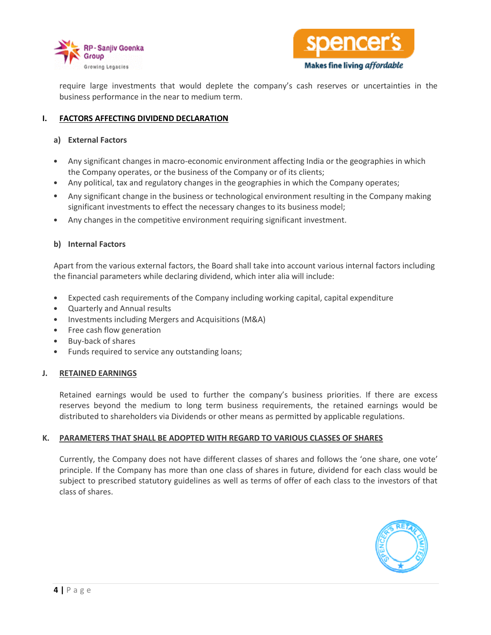



require large investments that would deplete the company's cash reserves or uncertainties in the business performance in the near to medium term.

# **I. FACTORS AFFECTING DIVIDEND DECLARATION**

#### **a) External Factors**

- Any significant changes in macro-economic environment affecting India or the geographies in which the Company operates, or the business of the Company or of its clients;
- Any political, tax and regulatory changes in the geographies in which the Company operates;
- Any significant change in the business or technological environment resulting in the Company making significant investments to effect the necessary changes to its business model;
- Any changes in the competitive environment requiring significant investment.

### **b) Internal Factors**

Apart from the various external factors, the Board shall take into account various internal factors including the financial parameters while declaring dividend, which inter alia will include:

- Expected cash requirements of the Company including working capital, capital expenditure
- Quarterly and Annual results
- Investments including Mergers and Acquisitions (M&A)
- Free cash flow generation
- Buy-back of shares
- Funds required to service any outstanding loans;

#### **J. RETAINED EARNINGS**

Retained earnings would be used to further the company's business priorities. If there are excess reserves beyond the medium to long term business requirements, the retained earnings would be distributed to shareholders via Dividends or other means as permitted by applicable regulations.

#### **K. PARAMETERS THAT SHALL BE ADOPTED WITH REGARD TO VARIOUS CLASSES OF SHARES**

Currently, the Company does not have different classes of shares and follows the 'one share, one vote' principle. If the Company has more than one class of shares in future, dividend for each class would be subject to prescribed statutory guidelines as well as terms of offer of each class to the investors of that class of shares.